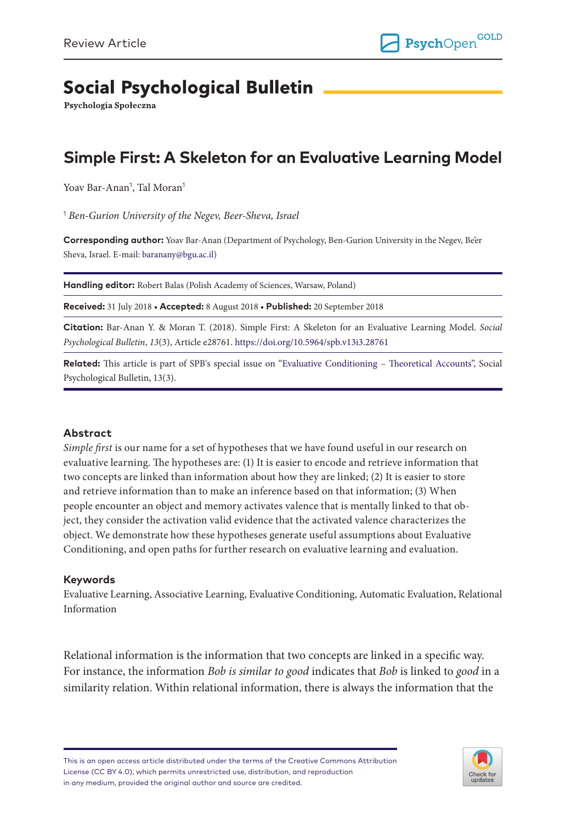# **Social Psychological Bulletin**

Psychologia Społeczna

## **Simple First: A Skeleton for an Evaluative Learning Model**

Yoav Bar-Anan<sup>1</sup>, Tal Moran<sup>1</sup>

1  *Ben-Gurion University of the Negev, Beer-Sheva, Israel*

**Corresponding author:** Yoav Bar-Anan (Department of Psychology, Ben-Gurion University in the Negev, Be'er Sheva, Israel. E-mail: [baranany@bgu.ac.il\)](mailto:baranany@bgu.ac.il)

**Handling editor:** Robert Balas (Polish Academy of Sciences, Warsaw, Poland)

**Received:** 31 July 2018 • **Accepted:** 8 August 2018 • **Published:** 20 September 2018

**Citation:** Bar-Anan Y. & Moran T. (2018). Simple First: A Skeleton for an Evaluative Learning Model. *Social Psychological Bulletin*, *13*(3), Article e28761.<https://doi.org/10.5964/spb.v13i3.28761>

**Related:** This article is part of SPB's special issue on ["Evaluative Conditioning – Theoretical Accounts"](https://spb.psychopen.eu/issue/1338/), Social Psychological Bulletin, 13(3).

#### **Abstract**

*Simple first* is our name for a set of hypotheses that we have found useful in our research on evaluative learning. The hypotheses are: (1) It is easier to encode and retrieve information that two concepts are linked than information about how they are linked; (2) It is easier to store and retrieve information than to make an inference based on that information; (3) When people encounter an object and memory activates valence that is mentally linked to that object, they consider the activation valid evidence that the activated valence characterizes the object. We demonstrate how these hypotheses generate useful assumptions about Evaluative Conditioning, and open paths for further research on evaluative learning and evaluation.

#### **Keywords**

Evaluative Learning, Associative Learning, Evaluative Conditioning, Automatic Evaluation, Relational Information

Relational information is the information that two concepts are linked in a specific way. For instance, the information *Bob is similar to good* indicates that *Bob* is linked to *good* in a similarity relation. Within relational information, there is always the information that the

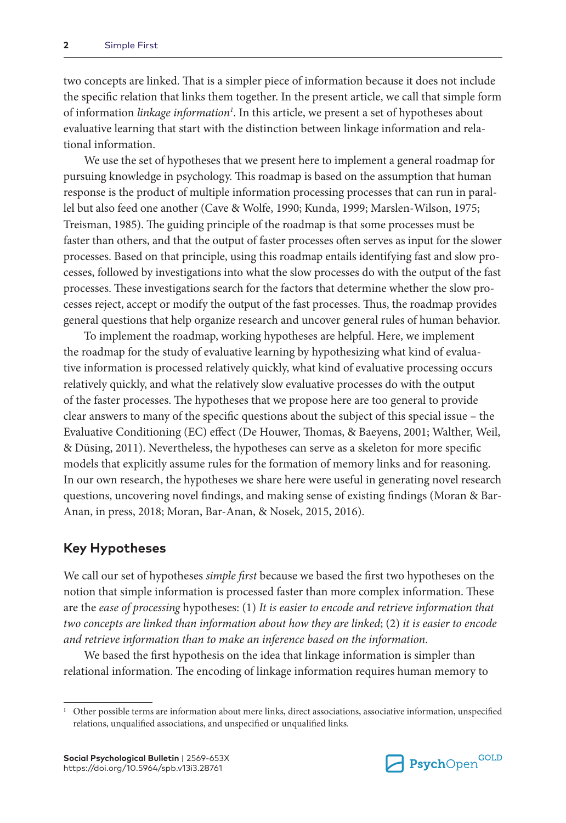two concepts are linked. That is a simpler piece of information because it does not include the specific relation that links them together. In the present article, we call that simple form of information *linkage information1* . In this article, we present a set of hypotheses about evaluative learning that start with the distinction between linkage information and relational information.

We use the set of hypotheses that we present here to implement a general roadmap for pursuing knowledge in psychology. This roadmap is based on the assumption that human response is the product of multiple information processing processes that can run in parallel but also feed one another (Cave & Wolfe, 1990; Kunda, 1999; Marslen-Wilson, 1975; Treisman, 1985). The guiding principle of the roadmap is that some processes must be faster than others, and that the output of faster processes often serves as input for the slower processes. Based on that principle, using this roadmap entails identifying fast and slow processes, followed by investigations into what the slow processes do with the output of the fast processes. These investigations search for the factors that determine whether the slow processes reject, accept or modify the output of the fast processes. Thus, the roadmap provides general questions that help organize research and uncover general rules of human behavior.

To implement the roadmap, working hypotheses are helpful. Here, we implement the roadmap for the study of evaluative learning by hypothesizing what kind of evaluative information is processed relatively quickly, what kind of evaluative processing occurs relatively quickly, and what the relatively slow evaluative processes do with the output of the faster processes. The hypotheses that we propose here are too general to provide clear answers to many of the specific questions about the subject of this special issue – the Evaluative Conditioning (EC) effect (De Houwer, Thomas, & Baeyens, 2001; Walther, Weil, & Düsing, 2011). Nevertheless, the hypotheses can serve as a skeleton for more specific models that explicitly assume rules for the formation of memory links and for reasoning. In our own research, the hypotheses we share here were useful in generating novel research questions, uncovering novel findings, and making sense of existing findings (Moran & Bar-Anan, in press, 2018; Moran, Bar-Anan, & Nosek, 2015, 2016).

### **Key Hypotheses**

We call our set of hypotheses *simple first* because we based the first two hypotheses on the notion that simple information is processed faster than more complex information. These are the *ease of processing* hypotheses: (1) *It is easier to encode and retrieve information that two concepts are linked than information about how they are linked*; (2) *it is easier to encode and retrieve information than to make an inference based on the information*.

We based the first hypothesis on the idea that linkage information is simpler than relational information. The encoding of linkage information requires human memory to



<sup>1</sup> Other possible terms are information about mere links, direct associations, associative information, unspecified relations, unqualified associations, and unspecified or unqualified links.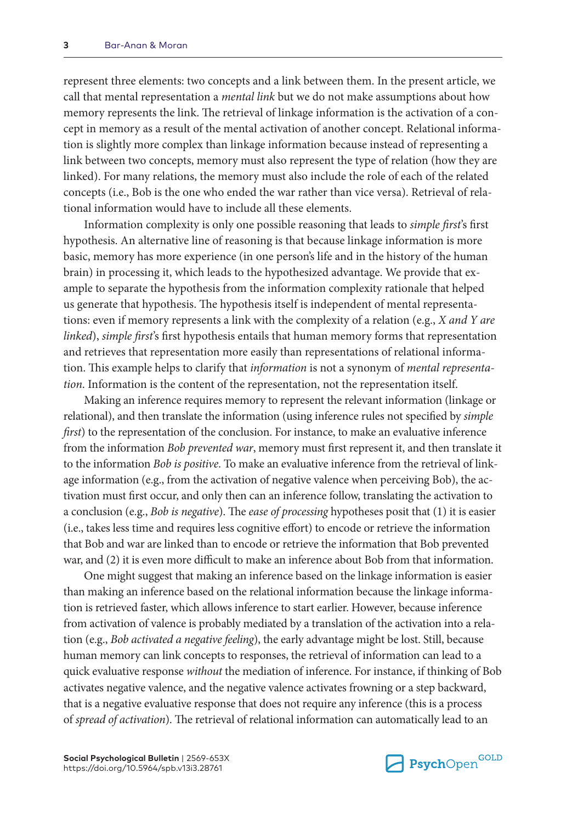represent three elements: two concepts and a link between them. In the present article, we call that mental representation a *mental link* but we do not make assumptions about how memory represents the link. The retrieval of linkage information is the activation of a concept in memory as a result of the mental activation of another concept. Relational information is slightly more complex than linkage information because instead of representing a link between two concepts, memory must also represent the type of relation (how they are linked). For many relations, the memory must also include the role of each of the related concepts (i.e., Bob is the one who ended the war rather than vice versa). Retrieval of relational information would have to include all these elements.

Information complexity is only one possible reasoning that leads to *simple first*'s first hypothesis. An alternative line of reasoning is that because linkage information is more basic, memory has more experience (in one person's life and in the history of the human brain) in processing it, which leads to the hypothesized advantage. We provide that example to separate the hypothesis from the information complexity rationale that helped us generate that hypothesis. The hypothesis itself is independent of mental representations: even if memory represents a link with the complexity of a relation (e.g., *X and Y are linked*), *simple first*'s first hypothesis entails that human memory forms that representation and retrieves that representation more easily than representations of relational information. This example helps to clarify that *information* is not a synonym of *mental representation*. Information is the content of the representation, not the representation itself.

Making an inference requires memory to represent the relevant information (linkage or relational), and then translate the information (using inference rules not specified by *simple first*) to the representation of the conclusion. For instance, to make an evaluative inference from the information *Bob prevented war*, memory must first represent it, and then translate it to the information *Bob is positive*. To make an evaluative inference from the retrieval of linkage information (e.g., from the activation of negative valence when perceiving Bob), the activation must first occur, and only then can an inference follow, translating the activation to a conclusion (e.g., *Bob is negative*). The *ease of processing* hypotheses posit that (1) it is easier (i.e., takes less time and requires less cognitive effort) to encode or retrieve the information that Bob and war are linked than to encode or retrieve the information that Bob prevented war, and (2) it is even more difficult to make an inference about Bob from that information.

One might suggest that making an inference based on the linkage information is easier than making an inference based on the relational information because the linkage information is retrieved faster, which allows inference to start earlier. However, because inference from activation of valence is probably mediated by a translation of the activation into a relation (e.g., *Bob activated a negative feeling*), the early advantage might be lost. Still, because human memory can link concepts to responses, the retrieval of information can lead to a quick evaluative response *without* the mediation of inference. For instance, if thinking of Bob activates negative valence, and the negative valence activates frowning or a step backward, that is a negative evaluative response that does not require any inference (this is a process of *spread of activation*). The retrieval of relational information can automatically lead to an

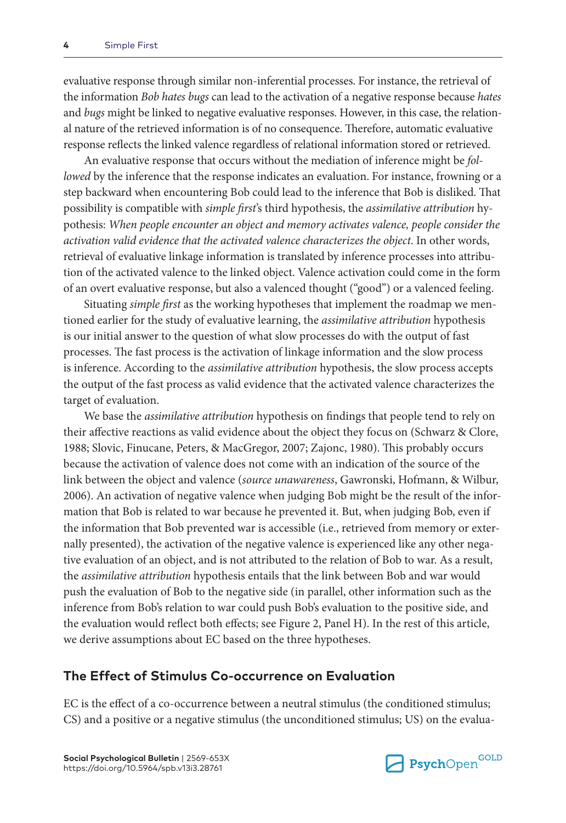evaluative response through similar non-inferential processes. For instance, the retrieval of the information *Bob hates bugs* can lead to the activation of a negative response because *hates* and *bugs* might be linked to negative evaluative responses. However, in this case, the relational nature of the retrieved information is of no consequence. Therefore, automatic evaluative response reflects the linked valence regardless of relational information stored or retrieved.

An evaluative response that occurs without the mediation of inference might be *followed* by the inference that the response indicates an evaluation. For instance, frowning or a step backward when encountering Bob could lead to the inference that Bob is disliked. That possibility is compatible with *simple first*'s third hypothesis, the *assimilative attribution* hypothesis: *When people encounter an object and memory activates valence, people consider the activation valid evidence that the activated valence characterizes the object*. In other words, retrieval of evaluative linkage information is translated by inference processes into attribution of the activated valence to the linked object. Valence activation could come in the form of an overt evaluative response, but also a valenced thought ("good") or a valenced feeling.

Situating *simple first* as the working hypotheses that implement the roadmap we mentioned earlier for the study of evaluative learning, the *assimilative attribution* hypothesis is our initial answer to the question of what slow processes do with the output of fast processes. The fast process is the activation of linkage information and the slow process is inference. According to the *assimilative attribution* hypothesis, the slow process accepts the output of the fast process as valid evidence that the activated valence characterizes the target of evaluation.

We base the *assimilative attribution* hypothesis on findings that people tend to rely on their affective reactions as valid evidence about the object they focus on (Schwarz & Clore, 1988; Slovic, Finucane, Peters, & MacGregor, 2007; Zajonc, 1980). This probably occurs because the activation of valence does not come with an indication of the source of the link between the object and valence (*source unawareness*, Gawronski, Hofmann, & Wilbur, 2006). An activation of negative valence when judging Bob might be the result of the information that Bob is related to war because he prevented it. But, when judging Bob, even if the information that Bob prevented war is accessible (i.e., retrieved from memory or externally presented), the activation of the negative valence is experienced like any other negative evaluation of an object, and is not attributed to the relation of Bob to war. As a result, the *assimilative attribution* hypothesis entails that the link between Bob and war would push the evaluation of Bob to the negative side (in parallel, other information such as the inference from Bob's relation to war could push Bob's evaluation to the positive side, and the evaluation would reflect both effects; see Figure 2, Panel H). In the rest of this article, we derive assumptions about EC based on the three hypotheses.

#### **The Effect of Stimulus Co-occurrence on Evaluation**

EC is the effect of a co-occurrence between a neutral stimulus (the conditioned stimulus; CS) and a positive or a negative stimulus (the unconditioned stimulus; US) on the evalua-

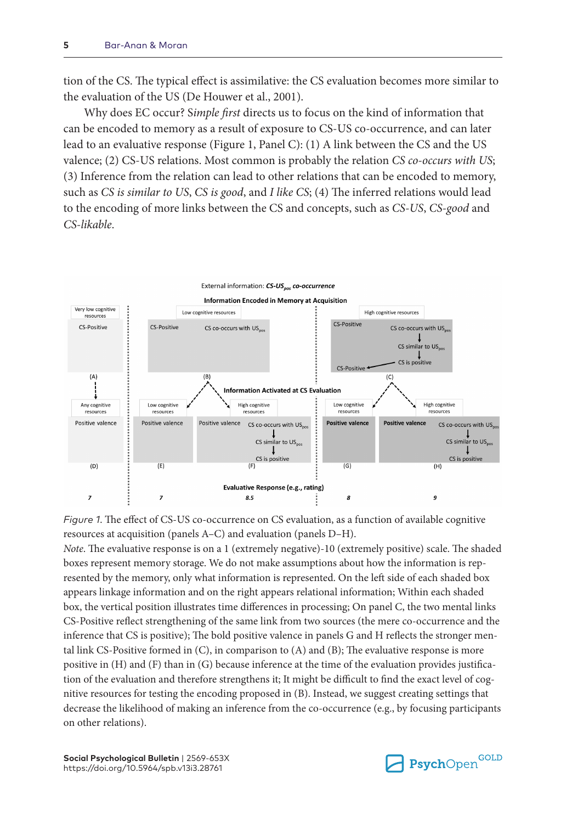tion of the CS. The typical effect is assimilative: the CS evaluation becomes more similar to the evaluation of the US (De Houwer et al., 2001).

Why does EC occur? S*imple first* directs us to focus on the kind of information that can be encoded to memory as a result of exposure to CS-US co-occurrence, and can later lead to an evaluative response (Figure 1, Panel C): (1) A link between the CS and the US valence; (2) CS-US relations. Most common is probably the relation *CS co-occurs with US*; (3) Inference from the relation can lead to other relations that can be encoded to memory, such as *CS is similar to US*, *CS is good*, and *I like CS*; (4) The inferred relations would lead to the encoding of more links between the CS and concepts, such as *CS-US*, *CS-good* and *CS-likable*.



*Figure 1*. The effect of CS-US co-occurrence on CS evaluation, as a function of available cognitive resources at acquisition (panels A–C) and evaluation (panels D–H).

*Note*. The evaluative response is on a 1 (extremely negative)-10 (extremely positive) scale. The shaded boxes represent memory storage. We do not make assumptions about how the information is represented by the memory, only what information is represented. On the left side of each shaded box appears linkage information and on the right appears relational information; Within each shaded box, the vertical position illustrates time differences in processing; On panel C, the two mental links CS-Positive reflect strengthening of the same link from two sources (the mere co-occurrence and the inference that CS is positive); The bold positive valence in panels G and H reflects the stronger mental link CS-Positive formed in (C), in comparison to (A) and (B); The evaluative response is more positive in (H) and (F) than in (G) because inference at the time of the evaluation provides justification of the evaluation and therefore strengthens it; It might be difficult to find the exact level of cognitive resources for testing the encoding proposed in (B). Instead, we suggest creating settings that decrease the likelihood of making an inference from the co-occurrence (e.g., by focusing participants on other relations).

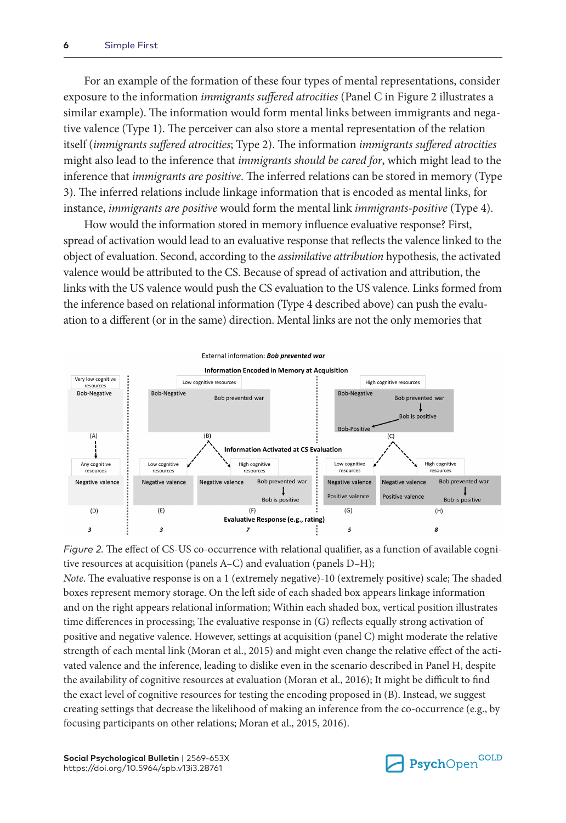For an example of the formation of these four types of mental representations, consider exposure to the information *immigrants suffered atrocities* (Panel C in Figure 2 illustrates a similar example). The information would form mental links between immigrants and negative valence (Type 1). The perceiver can also store a mental representation of the relation itself (*immigrants suffered atrocities*; Type 2). The information *immigrants suffered atrocities* might also lead to the inference that *immigrants should be cared for*, which might lead to the inference that *immigrants are positive*. The inferred relations can be stored in memory (Type 3). The inferred relations include linkage information that is encoded as mental links, for instance, *immigrants are positive* would form the mental link *immigrants-positive* (Type 4).

How would the information stored in memory influence evaluative response? First, spread of activation would lead to an evaluative response that reflects the valence linked to the object of evaluation. Second, according to the *assimilative attribution* hypothesis, the activated valence would be attributed to the CS. Because of spread of activation and attribution, the links with the US valence would push the CS evaluation to the US valence. Links formed from the inference based on relational information (Type 4 described above) can push the evaluation to a different (or in the same) direction. Mental links are not the only memories that



*Figure 2.* The effect of CS-US co-occurrence with relational qualifier, as a function of available cognitive resources at acquisition (panels A–C) and evaluation (panels D–H);

*Note*. The evaluative response is on a 1 (extremely negative)-10 (extremely positive) scale; The shaded boxes represent memory storage. On the left side of each shaded box appears linkage information and on the right appears relational information; Within each shaded box, vertical position illustrates time differences in processing; The evaluative response in (G) reflects equally strong activation of positive and negative valence. However, settings at acquisition (panel C) might moderate the relative strength of each mental link (Moran et al., 2015) and might even change the relative effect of the activated valence and the inference, leading to dislike even in the scenario described in Panel H, despite the availability of cognitive resources at evaluation (Moran et al., 2016); It might be difficult to find the exact level of cognitive resources for testing the encoding proposed in (B). Instead, we suggest creating settings that decrease the likelihood of making an inference from the co-occurrence (e.g., by focusing participants on other relations; Moran et al., 2015, 2016).

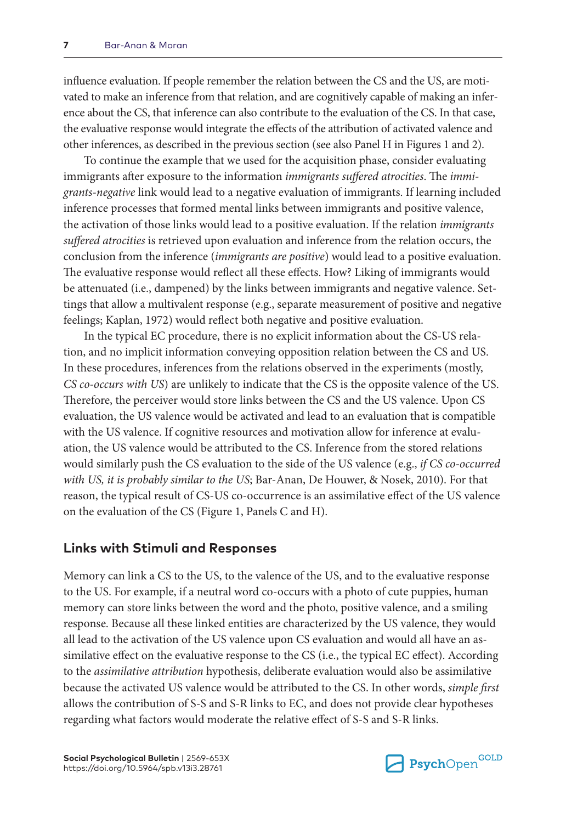influence evaluation. If people remember the relation between the CS and the US, are motivated to make an inference from that relation, and are cognitively capable of making an inference about the CS, that inference can also contribute to the evaluation of the CS. In that case, the evaluative response would integrate the effects of the attribution of activated valence and other inferences, as described in the previous section (see also Panel H in Figures 1 and 2).

To continue the example that we used for the acquisition phase, consider evaluating immigrants after exposure to the information *immigrants suffered atrocities*. The *immigrants-negative* link would lead to a negative evaluation of immigrants. If learning included inference processes that formed mental links between immigrants and positive valence, the activation of those links would lead to a positive evaluation. If the relation *immigrants suffered atrocities* is retrieved upon evaluation and inference from the relation occurs, the conclusion from the inference (*immigrants are positive*) would lead to a positive evaluation. The evaluative response would reflect all these effects. How? Liking of immigrants would be attenuated (i.e., dampened) by the links between immigrants and negative valence. Settings that allow a multivalent response (e.g., separate measurement of positive and negative feelings; Kaplan, 1972) would reflect both negative and positive evaluation.

In the typical EC procedure, there is no explicit information about the CS-US relation, and no implicit information conveying opposition relation between the CS and US. In these procedures, inferences from the relations observed in the experiments (mostly, *CS co-occurs with US*) are unlikely to indicate that the CS is the opposite valence of the US. Therefore, the perceiver would store links between the CS and the US valence. Upon CS evaluation, the US valence would be activated and lead to an evaluation that is compatible with the US valence. If cognitive resources and motivation allow for inference at evaluation, the US valence would be attributed to the CS. Inference from the stored relations would similarly push the CS evaluation to the side of the US valence (e.g., *if CS co-occurred with US, it is probably similar to the US*; Bar-Anan, De Houwer, & Nosek, 2010). For that reason, the typical result of CS-US co-occurrence is an assimilative effect of the US valence on the evaluation of the CS (Figure 1, Panels C and H).

#### **Links with Stimuli and Responses**

Memory can link a CS to the US, to the valence of the US, and to the evaluative response to the US. For example, if a neutral word co-occurs with a photo of cute puppies, human memory can store links between the word and the photo, positive valence, and a smiling response. Because all these linked entities are characterized by the US valence, they would all lead to the activation of the US valence upon CS evaluation and would all have an assimilative effect on the evaluative response to the CS (i.e., the typical EC effect). According to the *assimilative attribution* hypothesis, deliberate evaluation would also be assimilative because the activated US valence would be attributed to the CS. In other words, *simple first* allows the contribution of S-S and S-R links to EC, and does not provide clear hypotheses regarding what factors would moderate the relative effect of S-S and S-R links.

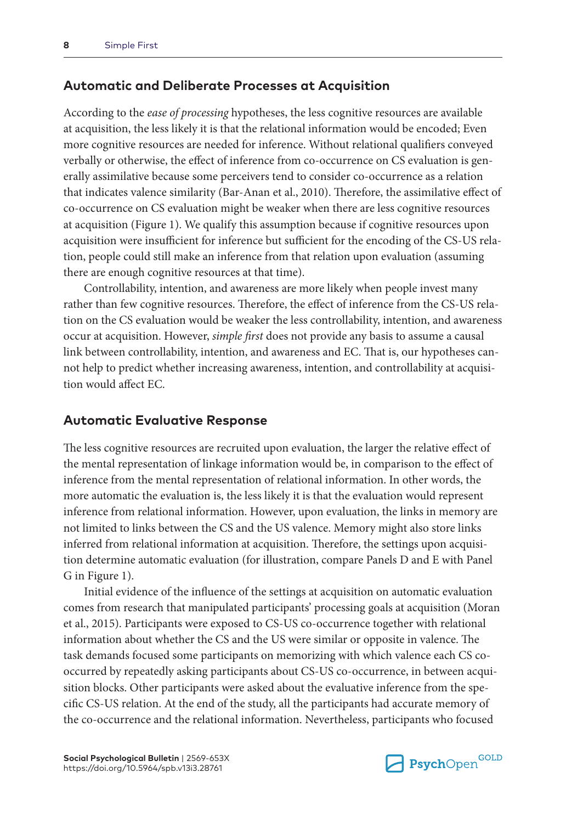#### **Automatic and Deliberate Processes at Acquisition**

According to the *ease of processing* hypotheses, the less cognitive resources are available at acquisition, the less likely it is that the relational information would be encoded; Even more cognitive resources are needed for inference. Without relational qualifiers conveyed verbally or otherwise, the effect of inference from co-occurrence on CS evaluation is generally assimilative because some perceivers tend to consider co-occurrence as a relation that indicates valence similarity (Bar-Anan et al., 2010). Therefore, the assimilative effect of co-occurrence on CS evaluation might be weaker when there are less cognitive resources at acquisition (Figure 1). We qualify this assumption because if cognitive resources upon acquisition were insufficient for inference but sufficient for the encoding of the CS-US relation, people could still make an inference from that relation upon evaluation (assuming there are enough cognitive resources at that time).

Controllability, intention, and awareness are more likely when people invest many rather than few cognitive resources. Therefore, the effect of inference from the CS-US relation on the CS evaluation would be weaker the less controllability, intention, and awareness occur at acquisition. However, *simple first* does not provide any basis to assume a causal link between controllability, intention, and awareness and EC. That is, our hypotheses cannot help to predict whether increasing awareness, intention, and controllability at acquisition would affect EC.

#### **Automatic Evaluative Response**

The less cognitive resources are recruited upon evaluation, the larger the relative effect of the mental representation of linkage information would be, in comparison to the effect of inference from the mental representation of relational information. In other words, the more automatic the evaluation is, the less likely it is that the evaluation would represent inference from relational information. However, upon evaluation, the links in memory are not limited to links between the CS and the US valence. Memory might also store links inferred from relational information at acquisition. Therefore, the settings upon acquisition determine automatic evaluation (for illustration, compare Panels D and E with Panel G in Figure 1).

Initial evidence of the influence of the settings at acquisition on automatic evaluation comes from research that manipulated participants' processing goals at acquisition (Moran et al., 2015). Participants were exposed to CS-US co-occurrence together with relational information about whether the CS and the US were similar or opposite in valence. The task demands focused some participants on memorizing with which valence each CS cooccurred by repeatedly asking participants about CS-US co-occurrence, in between acquisition blocks. Other participants were asked about the evaluative inference from the specific CS-US relation. At the end of the study, all the participants had accurate memory of the co-occurrence and the relational information. Nevertheless, participants who focused

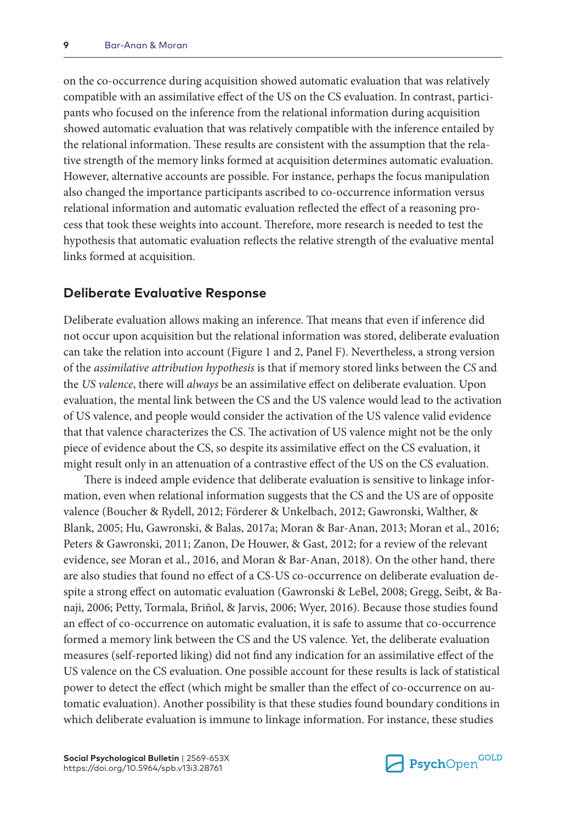on the co-occurrence during acquisition showed automatic evaluation that was relatively compatible with an assimilative effect of the US on the CS evaluation. In contrast, participants who focused on the inference from the relational information during acquisition showed automatic evaluation that was relatively compatible with the inference entailed by the relational information. These results are consistent with the assumption that the relative strength of the memory links formed at acquisition determines automatic evaluation. However, alternative accounts are possible. For instance, perhaps the focus manipulation also changed the importance participants ascribed to co-occurrence information versus relational information and automatic evaluation reflected the effect of a reasoning process that took these weights into account. Therefore, more research is needed to test the hypothesis that automatic evaluation reflects the relative strength of the evaluative mental links formed at acquisition.

## **Deliberate Evaluative Response**

Deliberate evaluation allows making an inference. That means that even if inference did not occur upon acquisition but the relational information was stored, deliberate evaluation can take the relation into account (Figure 1 and 2, Panel F). Nevertheless, a strong version of the *assimilative attribution hypothesis* is that if memory stored links between the *CS* and the *US valence*, there will *always* be an assimilative effect on deliberate evaluation. Upon evaluation, the mental link between the CS and the US valence would lead to the activation of US valence, and people would consider the activation of the US valence valid evidence that that valence characterizes the CS. The activation of US valence might not be the only piece of evidence about the CS, so despite its assimilative effect on the CS evaluation, it might result only in an attenuation of a contrastive effect of the US on the CS evaluation.

There is indeed ample evidence that deliberate evaluation is sensitive to linkage information, even when relational information suggests that the CS and the US are of opposite valence (Boucher & Rydell, 2012; Förderer & Unkelbach, 2012; Gawronski, Walther, & Blank, 2005; Hu, Gawronski, & Balas, 2017a; Moran & Bar-Anan, 2013; Moran et al., 2016; Peters & Gawronski, 2011; Zanon, De Houwer, & Gast, 2012; for a review of the relevant evidence, see Moran et al., 2016, and Moran & Bar-Anan, 2018). On the other hand, there are also studies that found no effect of a CS-US co-occurrence on deliberate evaluation despite a strong effect on automatic evaluation (Gawronski & LeBel, 2008; Gregg, Seibt, & Banaji, 2006; Petty, Tormala, Briñol, & Jarvis, 2006; Wyer, 2016). Because those studies found an effect of co-occurrence on automatic evaluation, it is safe to assume that co-occurrence formed a memory link between the CS and the US valence. Yet, the deliberate evaluation measures (self-reported liking) did not find any indication for an assimilative effect of the US valence on the CS evaluation. One possible account for these results is lack of statistical power to detect the effect (which might be smaller than the effect of co-occurrence on automatic evaluation). Another possibility is that these studies found boundary conditions in which deliberate evaluation is immune to linkage information. For instance, these studies

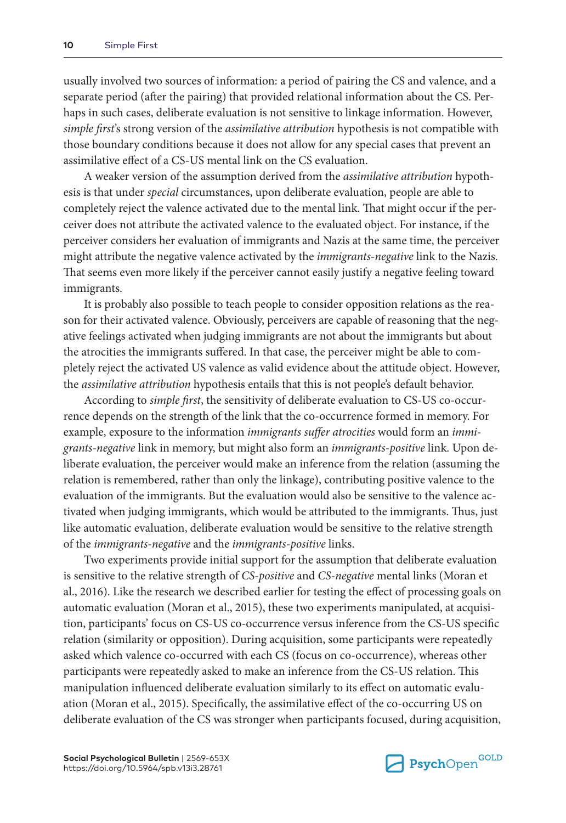usually involved two sources of information: a period of pairing the CS and valence, and a separate period (after the pairing) that provided relational information about the CS. Perhaps in such cases, deliberate evaluation is not sensitive to linkage information. However, *simple first*'s strong version of the *assimilative attribution* hypothesis is not compatible with those boundary conditions because it does not allow for any special cases that prevent an assimilative effect of a CS-US mental link on the CS evaluation.

A weaker version of the assumption derived from the *assimilative attribution* hypothesis is that under *special* circumstances, upon deliberate evaluation, people are able to completely reject the valence activated due to the mental link. That might occur if the perceiver does not attribute the activated valence to the evaluated object. For instance, if the perceiver considers her evaluation of immigrants and Nazis at the same time, the perceiver might attribute the negative valence activated by the *immigrants-negative* link to the Nazis. That seems even more likely if the perceiver cannot easily justify a negative feeling toward immigrants.

It is probably also possible to teach people to consider opposition relations as the reason for their activated valence. Obviously, perceivers are capable of reasoning that the negative feelings activated when judging immigrants are not about the immigrants but about the atrocities the immigrants suffered. In that case, the perceiver might be able to completely reject the activated US valence as valid evidence about the attitude object. However, the *assimilative attribution* hypothesis entails that this is not people's default behavior.

According to *simple first*, the sensitivity of deliberate evaluation to CS-US co-occurrence depends on the strength of the link that the co-occurrence formed in memory. For example, exposure to the information *immigrants suffer atrocities* would form an *immigrants-negative* link in memory, but might also form an *immigrants-positive* link. Upon deliberate evaluation, the perceiver would make an inference from the relation (assuming the relation is remembered, rather than only the linkage), contributing positive valence to the evaluation of the immigrants. But the evaluation would also be sensitive to the valence activated when judging immigrants, which would be attributed to the immigrants. Thus, just like automatic evaluation, deliberate evaluation would be sensitive to the relative strength of the *immigrants-negative* and the *immigrants-positive* links.

Two experiments provide initial support for the assumption that deliberate evaluation is sensitive to the relative strength of *CS-positive* and *CS-negative* mental links (Moran et al., 2016). Like the research we described earlier for testing the effect of processing goals on automatic evaluation (Moran et al., 2015), these two experiments manipulated, at acquisition, participants' focus on CS-US co-occurrence versus inference from the CS-US specific relation (similarity or opposition). During acquisition, some participants were repeatedly asked which valence co-occurred with each CS (focus on co-occurrence), whereas other participants were repeatedly asked to make an inference from the CS-US relation. This manipulation influenced deliberate evaluation similarly to its effect on automatic evaluation (Moran et al., 2015). Specifically, the assimilative effect of the co-occurring US on deliberate evaluation of the CS was stronger when participants focused, during acquisition,

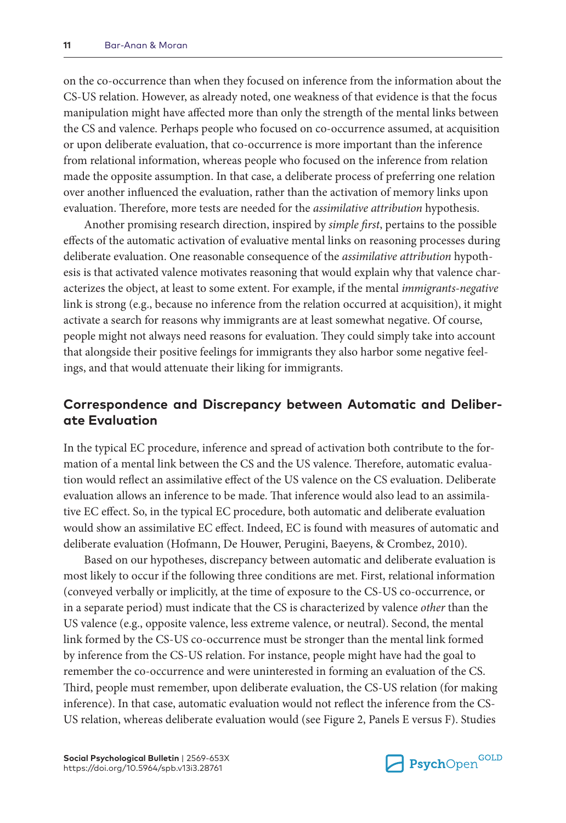on the co-occurrence than when they focused on inference from the information about the CS-US relation. However, as already noted, one weakness of that evidence is that the focus manipulation might have affected more than only the strength of the mental links between the CS and valence. Perhaps people who focused on co-occurrence assumed, at acquisition or upon deliberate evaluation, that co-occurrence is more important than the inference from relational information, whereas people who focused on the inference from relation made the opposite assumption. In that case, a deliberate process of preferring one relation over another influenced the evaluation, rather than the activation of memory links upon evaluation. Therefore, more tests are needed for the *assimilative attribution* hypothesis.

Another promising research direction, inspired by *simple first*, pertains to the possible effects of the automatic activation of evaluative mental links on reasoning processes during deliberate evaluation. One reasonable consequence of the *assimilative attribution* hypothesis is that activated valence motivates reasoning that would explain why that valence characterizes the object, at least to some extent. For example, if the mental *immigrants-negative* link is strong (e.g., because no inference from the relation occurred at acquisition), it might activate a search for reasons why immigrants are at least somewhat negative. Of course, people might not always need reasons for evaluation. They could simply take into account that alongside their positive feelings for immigrants they also harbor some negative feelings, and that would attenuate their liking for immigrants.

## **Correspondence and Discrepancy between Automatic and Deliberate Evaluation**

In the typical EC procedure, inference and spread of activation both contribute to the formation of a mental link between the CS and the US valence. Therefore, automatic evaluation would reflect an assimilative effect of the US valence on the CS evaluation. Deliberate evaluation allows an inference to be made. That inference would also lead to an assimilative EC effect. So, in the typical EC procedure, both automatic and deliberate evaluation would show an assimilative EC effect. Indeed, EC is found with measures of automatic and deliberate evaluation (Hofmann, De Houwer, Perugini, Baeyens, & Crombez, 2010).

Based on our hypotheses, discrepancy between automatic and deliberate evaluation is most likely to occur if the following three conditions are met. First, relational information (conveyed verbally or implicitly, at the time of exposure to the CS-US co-occurrence, or in a separate period) must indicate that the CS is characterized by valence *other* than the US valence (e.g., opposite valence, less extreme valence, or neutral). Second, the mental link formed by the CS-US co-occurrence must be stronger than the mental link formed by inference from the CS-US relation. For instance, people might have had the goal to remember the co-occurrence and were uninterested in forming an evaluation of the CS. Third, people must remember, upon deliberate evaluation, the CS-US relation (for making inference). In that case, automatic evaluation would not reflect the inference from the CS-US relation, whereas deliberate evaluation would (see Figure 2, Panels E versus F). Studies

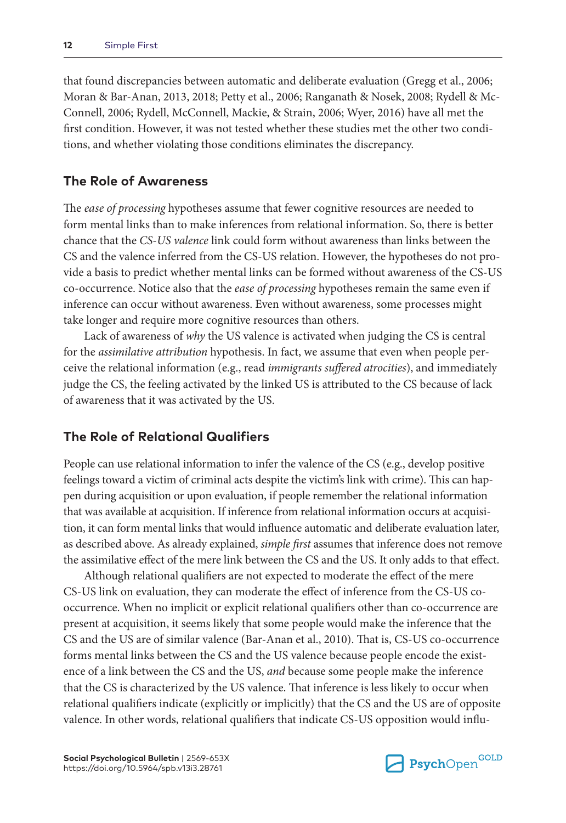that found discrepancies between automatic and deliberate evaluation (Gregg et al., 2006; Moran & Bar-Anan, 2013, 2018; Petty et al., 2006; Ranganath & Nosek, 2008; Rydell & Mc-Connell, 2006; Rydell, McConnell, Mackie, & Strain, 2006; Wyer, 2016) have all met the first condition. However, it was not tested whether these studies met the other two conditions, and whether violating those conditions eliminates the discrepancy.

#### **The Role of Awareness**

The *ease of processing* hypotheses assume that fewer cognitive resources are needed to form mental links than to make inferences from relational information. So, there is better chance that the *CS-US valence* link could form without awareness than links between the CS and the valence inferred from the CS-US relation. However, the hypotheses do not provide a basis to predict whether mental links can be formed without awareness of the CS-US co-occurrence. Notice also that the *ease of processing* hypotheses remain the same even if inference can occur without awareness. Even without awareness, some processes might take longer and require more cognitive resources than others.

Lack of awareness of *why* the US valence is activated when judging the CS is central for the *assimilative attribution* hypothesis. In fact, we assume that even when people perceive the relational information (e.g., read *immigrants suffered atrocities*), and immediately judge the CS, the feeling activated by the linked US is attributed to the CS because of lack of awareness that it was activated by the US.

### **The Role of Relational Qualifiers**

People can use relational information to infer the valence of the CS (e.g., develop positive feelings toward a victim of criminal acts despite the victim's link with crime). This can happen during acquisition or upon evaluation, if people remember the relational information that was available at acquisition. If inference from relational information occurs at acquisition, it can form mental links that would influence automatic and deliberate evaluation later, as described above. As already explained, *simple first* assumes that inference does not remove the assimilative effect of the mere link between the CS and the US. It only adds to that effect.

Although relational qualifiers are not expected to moderate the effect of the mere CS-US link on evaluation, they can moderate the effect of inference from the CS-US cooccurrence. When no implicit or explicit relational qualifiers other than co-occurrence are present at acquisition, it seems likely that some people would make the inference that the CS and the US are of similar valence (Bar-Anan et al., 2010). That is, CS-US co-occurrence forms mental links between the CS and the US valence because people encode the existence of a link between the CS and the US, *and* because some people make the inference that the CS is characterized by the US valence. That inference is less likely to occur when relational qualifiers indicate (explicitly or implicitly) that the CS and the US are of opposite valence. In other words, relational qualifiers that indicate CS-US opposition would influ-

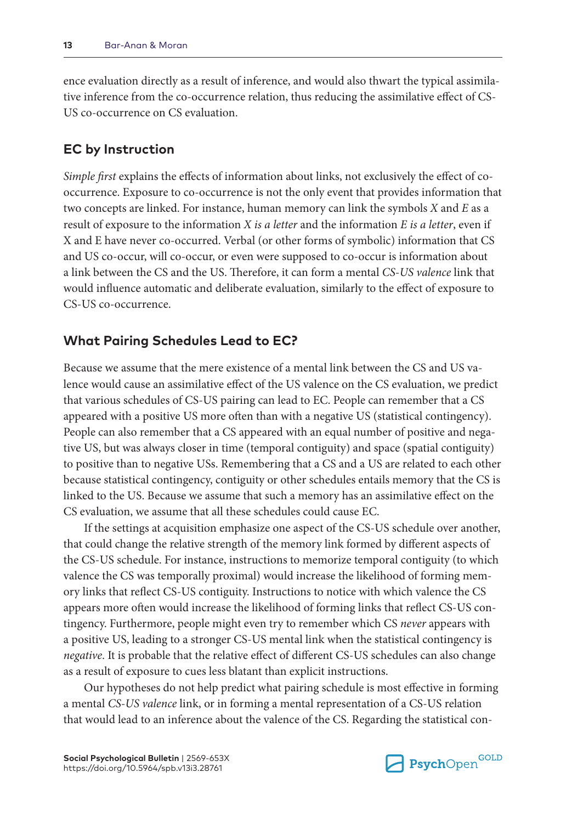ence evaluation directly as a result of inference, and would also thwart the typical assimilative inference from the co-occurrence relation, thus reducing the assimilative effect of CS-US co-occurrence on CS evaluation.

#### **EC by Instruction**

*Simple first* explains the effects of information about links, not exclusively the effect of cooccurrence. Exposure to co-occurrence is not the only event that provides information that two concepts are linked. For instance, human memory can link the symbols *X* and *E* as a result of exposure to the information *X is a letter* and the information *E is a letter*, even if X and E have never co-occurred. Verbal (or other forms of symbolic) information that CS and US co-occur, will co-occur, or even were supposed to co-occur is information about a link between the CS and the US. Therefore, it can form a mental *CS-US valence* link that would influence automatic and deliberate evaluation, similarly to the effect of exposure to CS-US co-occurrence.

#### **What Pairing Schedules Lead to EC?**

Because we assume that the mere existence of a mental link between the CS and US valence would cause an assimilative effect of the US valence on the CS evaluation, we predict that various schedules of CS-US pairing can lead to EC. People can remember that a CS appeared with a positive US more often than with a negative US (statistical contingency). People can also remember that a CS appeared with an equal number of positive and negative US, but was always closer in time (temporal contiguity) and space (spatial contiguity) to positive than to negative USs. Remembering that a CS and a US are related to each other because statistical contingency, contiguity or other schedules entails memory that the CS is linked to the US. Because we assume that such a memory has an assimilative effect on the CS evaluation, we assume that all these schedules could cause EC.

If the settings at acquisition emphasize one aspect of the CS-US schedule over another, that could change the relative strength of the memory link formed by different aspects of the CS-US schedule. For instance, instructions to memorize temporal contiguity (to which valence the CS was temporally proximal) would increase the likelihood of forming memory links that reflect CS-US contiguity. Instructions to notice with which valence the CS appears more often would increase the likelihood of forming links that reflect CS-US contingency. Furthermore, people might even try to remember which CS *never* appears with a positive US, leading to a stronger CS-US mental link when the statistical contingency is *negative*. It is probable that the relative effect of different CS-US schedules can also change as a result of exposure to cues less blatant than explicit instructions.

Our hypotheses do not help predict what pairing schedule is most effective in forming a mental *CS-US valence* link, or in forming a mental representation of a CS-US relation that would lead to an inference about the valence of the CS. Regarding the statistical con-

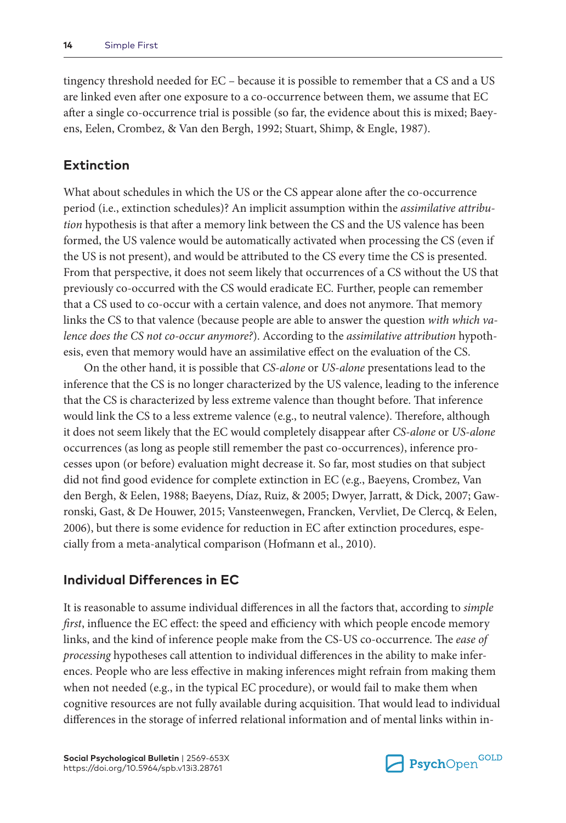tingency threshold needed for EC – because it is possible to remember that a CS and a US are linked even after one exposure to a co-occurrence between them, we assume that EC after a single co-occurrence trial is possible (so far, the evidence about this is mixed; Baeyens, Eelen, Crombez, & Van den Bergh, 1992; Stuart, Shimp, & Engle, 1987).

#### **Extinction**

What about schedules in which the US or the CS appear alone after the co-occurrence period (i.e., extinction schedules)? An implicit assumption within the *assimilative attribution* hypothesis is that after a memory link between the CS and the US valence has been formed, the US valence would be automatically activated when processing the CS (even if the US is not present), and would be attributed to the CS every time the CS is presented. From that perspective, it does not seem likely that occurrences of a CS without the US that previously co-occurred with the CS would eradicate EC. Further, people can remember that a CS used to co-occur with a certain valence, and does not anymore. That memory links the CS to that valence (because people are able to answer the question *with which valence does the CS not co-occur anymore?*). According to the *assimilative attribution* hypothesis, even that memory would have an assimilative effect on the evaluation of the CS.

On the other hand, it is possible that *CS-alone* or *US-alone* presentations lead to the inference that the CS is no longer characterized by the US valence, leading to the inference that the CS is characterized by less extreme valence than thought before. That inference would link the CS to a less extreme valence (e.g., to neutral valence). Therefore, although it does not seem likely that the EC would completely disappear after *CS-alone* or *US-alone* occurrences (as long as people still remember the past co-occurrences), inference processes upon (or before) evaluation might decrease it. So far, most studies on that subject did not find good evidence for complete extinction in EC (e.g., Baeyens, Crombez, Van den Bergh, & Eelen, 1988; Baeyens, Díaz, Ruiz, & 2005; Dwyer, Jarratt, & Dick, 2007; Gawronski, Gast, & De Houwer, 2015; Vansteenwegen, Francken, Vervliet, De Clercq, & Eelen, 2006), but there is some evidence for reduction in EC after extinction procedures, especially from a meta-analytical comparison (Hofmann et al., 2010).

#### **Individual Differences in EC**

It is reasonable to assume individual differences in all the factors that, according to *simple first*, influence the EC effect: the speed and efficiency with which people encode memory links, and the kind of inference people make from the CS-US co-occurrence. The *ease of processing* hypotheses call attention to individual differences in the ability to make inferences. People who are less effective in making inferences might refrain from making them when not needed (e.g., in the typical EC procedure), or would fail to make them when cognitive resources are not fully available during acquisition. That would lead to individual differences in the storage of inferred relational information and of mental links within in-

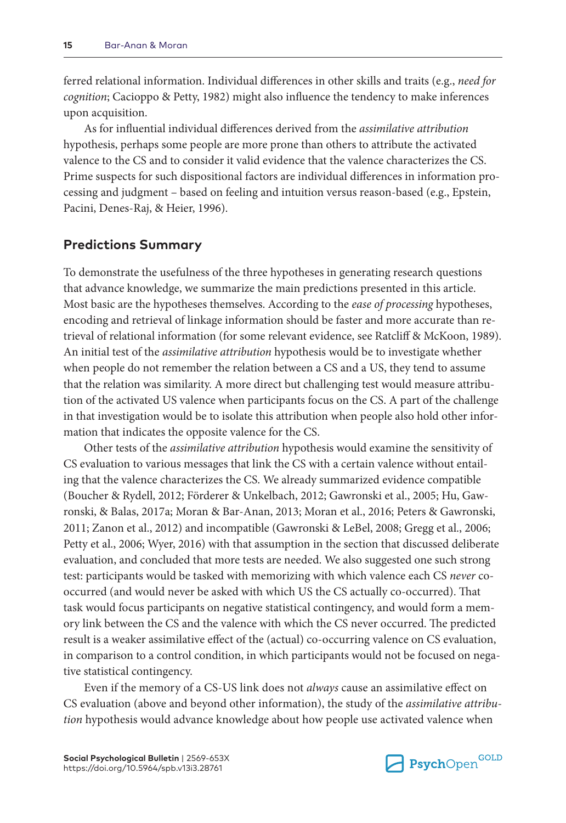ferred relational information. Individual differences in other skills and traits (e.g., *need for cognition*; Cacioppo & Petty, 1982) might also influence the tendency to make inferences upon acquisition.

As for influential individual differences derived from the *assimilative attribution* hypothesis, perhaps some people are more prone than others to attribute the activated valence to the CS and to consider it valid evidence that the valence characterizes the CS. Prime suspects for such dispositional factors are individual differences in information processing and judgment – based on feeling and intuition versus reason-based (e.g., Epstein, Pacini, Denes-Raj, & Heier, 1996).

#### **Predictions Summary**

To demonstrate the usefulness of the three hypotheses in generating research questions that advance knowledge, we summarize the main predictions presented in this article. Most basic are the hypotheses themselves. According to the *ease of processing* hypotheses, encoding and retrieval of linkage information should be faster and more accurate than retrieval of relational information (for some relevant evidence, see Ratcliff & McKoon, 1989). An initial test of the *assimilative attribution* hypothesis would be to investigate whether when people do not remember the relation between a CS and a US, they tend to assume that the relation was similarity. A more direct but challenging test would measure attribution of the activated US valence when participants focus on the CS. A part of the challenge in that investigation would be to isolate this attribution when people also hold other information that indicates the opposite valence for the CS.

Other tests of the *assimilative attribution* hypothesis would examine the sensitivity of CS evaluation to various messages that link the CS with a certain valence without entailing that the valence characterizes the CS. We already summarized evidence compatible (Boucher & Rydell, 2012; Förderer & Unkelbach, 2012; Gawronski et al., 2005; Hu, Gawronski, & Balas, 2017a; Moran & Bar-Anan, 2013; Moran et al., 2016; Peters & Gawronski, 2011; Zanon et al., 2012) and incompatible (Gawronski & LeBel, 2008; Gregg et al., 2006; Petty et al., 2006; Wyer, 2016) with that assumption in the section that discussed deliberate evaluation, and concluded that more tests are needed. We also suggested one such strong test: participants would be tasked with memorizing with which valence each CS *never* cooccurred (and would never be asked with which US the CS actually co-occurred). That task would focus participants on negative statistical contingency, and would form a memory link between the CS and the valence with which the CS never occurred. The predicted result is a weaker assimilative effect of the (actual) co-occurring valence on CS evaluation, in comparison to a control condition, in which participants would not be focused on negative statistical contingency.

Even if the memory of a CS-US link does not *always* cause an assimilative effect on CS evaluation (above and beyond other information), the study of the *assimilative attribution* hypothesis would advance knowledge about how people use activated valence when

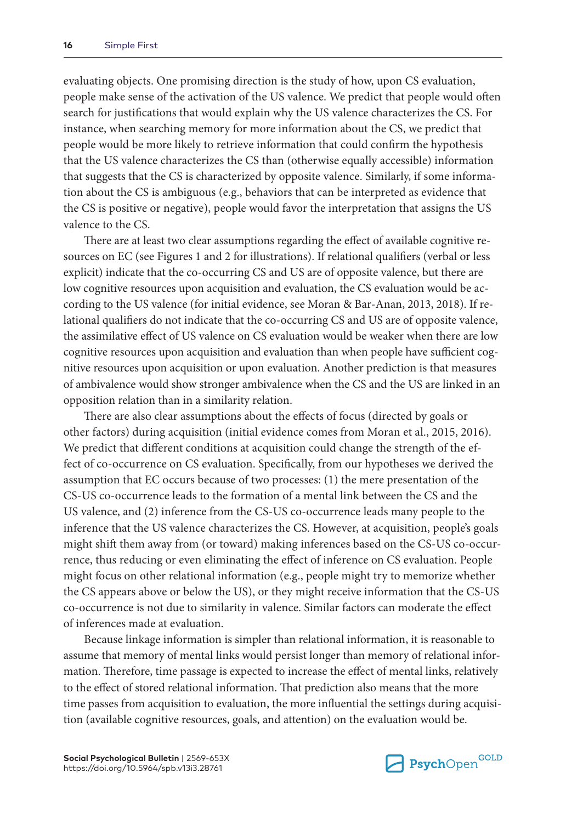evaluating objects. One promising direction is the study of how, upon CS evaluation, people make sense of the activation of the US valence. We predict that people would often search for justifications that would explain why the US valence characterizes the CS. For instance, when searching memory for more information about the CS, we predict that people would be more likely to retrieve information that could confirm the hypothesis that the US valence characterizes the CS than (otherwise equally accessible) information that suggests that the CS is characterized by opposite valence. Similarly, if some information about the CS is ambiguous (e.g., behaviors that can be interpreted as evidence that the CS is positive or negative), people would favor the interpretation that assigns the US valence to the CS.

There are at least two clear assumptions regarding the effect of available cognitive resources on EC (see Figures 1 and 2 for illustrations). If relational qualifiers (verbal or less explicit) indicate that the co-occurring CS and US are of opposite valence, but there are low cognitive resources upon acquisition and evaluation, the CS evaluation would be according to the US valence (for initial evidence, see Moran & Bar-Anan, 2013, 2018). If relational qualifiers do not indicate that the co-occurring CS and US are of opposite valence, the assimilative effect of US valence on CS evaluation would be weaker when there are low cognitive resources upon acquisition and evaluation than when people have sufficient cognitive resources upon acquisition or upon evaluation. Another prediction is that measures of ambivalence would show stronger ambivalence when the CS and the US are linked in an opposition relation than in a similarity relation.

There are also clear assumptions about the effects of focus (directed by goals or other factors) during acquisition (initial evidence comes from Moran et al., 2015, 2016). We predict that different conditions at acquisition could change the strength of the effect of co-occurrence on CS evaluation. Specifically, from our hypotheses we derived the assumption that EC occurs because of two processes: (1) the mere presentation of the CS-US co-occurrence leads to the formation of a mental link between the CS and the US valence, and (2) inference from the CS-US co-occurrence leads many people to the inference that the US valence characterizes the CS. However, at acquisition, people's goals might shift them away from (or toward) making inferences based on the CS-US co-occurrence, thus reducing or even eliminating the effect of inference on CS evaluation. People might focus on other relational information (e.g., people might try to memorize whether the CS appears above or below the US), or they might receive information that the CS-US co-occurrence is not due to similarity in valence. Similar factors can moderate the effect of inferences made at evaluation.

Because linkage information is simpler than relational information, it is reasonable to assume that memory of mental links would persist longer than memory of relational information. Therefore, time passage is expected to increase the effect of mental links, relatively to the effect of stored relational information. That prediction also means that the more time passes from acquisition to evaluation, the more influential the settings during acquisition (available cognitive resources, goals, and attention) on the evaluation would be.

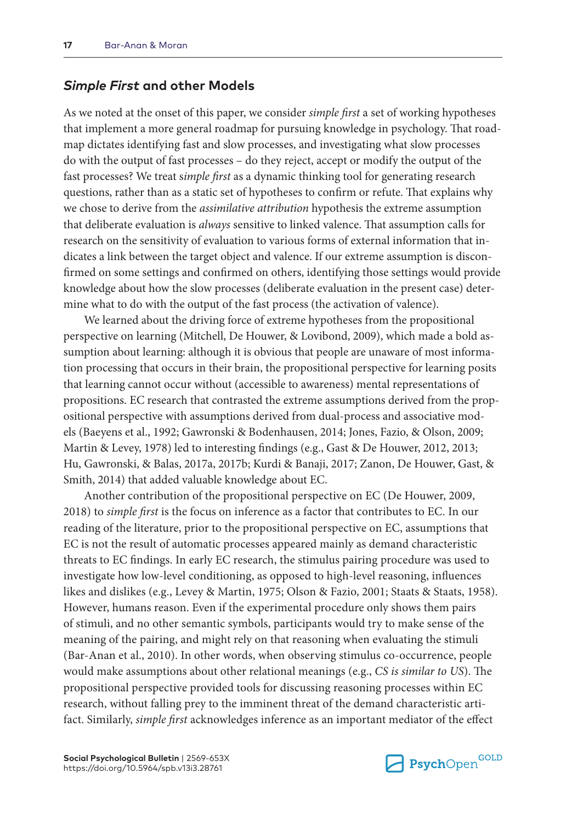#### *Simple First* **and other Models**

As we noted at the onset of this paper, we consider *simple first* a set of working hypotheses that implement a more general roadmap for pursuing knowledge in psychology. That roadmap dictates identifying fast and slow processes, and investigating what slow processes do with the output of fast processes – do they reject, accept or modify the output of the fast processes? We treat s*imple first* as a dynamic thinking tool for generating research questions, rather than as a static set of hypotheses to confirm or refute. That explains why we chose to derive from the *assimilative attribution* hypothesis the extreme assumption that deliberate evaluation is *always* sensitive to linked valence. That assumption calls for research on the sensitivity of evaluation to various forms of external information that indicates a link between the target object and valence. If our extreme assumption is disconfirmed on some settings and confirmed on others, identifying those settings would provide knowledge about how the slow processes (deliberate evaluation in the present case) determine what to do with the output of the fast process (the activation of valence).

We learned about the driving force of extreme hypotheses from the propositional perspective on learning (Mitchell, De Houwer, & Lovibond, 2009), which made a bold assumption about learning: although it is obvious that people are unaware of most information processing that occurs in their brain, the propositional perspective for learning posits that learning cannot occur without (accessible to awareness) mental representations of propositions. EC research that contrasted the extreme assumptions derived from the propositional perspective with assumptions derived from dual-process and associative models (Baeyens et al., 1992; Gawronski & Bodenhausen, 2014; Jones, Fazio, & Olson, 2009; Martin & Levey, 1978) led to interesting findings (e.g., Gast & De Houwer, 2012, 2013; Hu, Gawronski, & Balas, 2017a, 2017b; Kurdi & Banaji, 2017; Zanon, De Houwer, Gast, & Smith, 2014) that added valuable knowledge about EC.

Another contribution of the propositional perspective on EC (De Houwer, 2009, 2018) to *simple first* is the focus on inference as a factor that contributes to EC. In our reading of the literature, prior to the propositional perspective on EC, assumptions that EC is not the result of automatic processes appeared mainly as demand characteristic threats to EC findings. In early EC research, the stimulus pairing procedure was used to investigate how low-level conditioning, as opposed to high-level reasoning, influences likes and dislikes (e.g., Levey & Martin, 1975; Olson & Fazio, 2001; Staats & Staats, 1958). However, humans reason. Even if the experimental procedure only shows them pairs of stimuli, and no other semantic symbols, participants would try to make sense of the meaning of the pairing, and might rely on that reasoning when evaluating the stimuli (Bar-Anan et al., 2010). In other words, when observing stimulus co-occurrence, people would make assumptions about other relational meanings (e.g., *CS is similar to US*). The propositional perspective provided tools for discussing reasoning processes within EC research, without falling prey to the imminent threat of the demand characteristic artifact. Similarly, *simple first* acknowledges inference as an important mediator of the effect

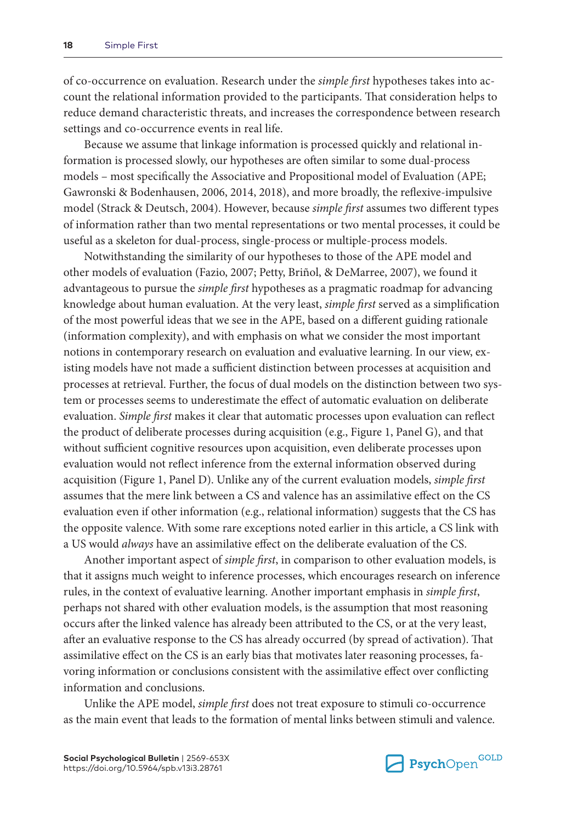of co-occurrence on evaluation. Research under the *simple first* hypotheses takes into account the relational information provided to the participants. That consideration helps to reduce demand characteristic threats, and increases the correspondence between research settings and co-occurrence events in real life.

Because we assume that linkage information is processed quickly and relational information is processed slowly, our hypotheses are often similar to some dual-process models – most specifically the Associative and Propositional model of Evaluation (APE; Gawronski & Bodenhausen, 2006, 2014, 2018), and more broadly, the reflexive-impulsive model (Strack & Deutsch, 2004). However, because *simple first* assumes two different types of information rather than two mental representations or two mental processes, it could be useful as a skeleton for dual-process, single-process or multiple-process models.

Notwithstanding the similarity of our hypotheses to those of the APE model and other models of evaluation (Fazio, 2007; Petty, Briñol, & DeMarree, 2007), we found it advantageous to pursue the *simple first* hypotheses as a pragmatic roadmap for advancing knowledge about human evaluation. At the very least, *simple first* served as a simplification of the most powerful ideas that we see in the APE, based on a different guiding rationale (information complexity), and with emphasis on what we consider the most important notions in contemporary research on evaluation and evaluative learning. In our view, existing models have not made a sufficient distinction between processes at acquisition and processes at retrieval. Further, the focus of dual models on the distinction between two system or processes seems to underestimate the effect of automatic evaluation on deliberate evaluation. *Simple first* makes it clear that automatic processes upon evaluation can reflect the product of deliberate processes during acquisition (e.g., Figure 1, Panel G), and that without sufficient cognitive resources upon acquisition, even deliberate processes upon evaluation would not reflect inference from the external information observed during acquisition (Figure 1, Panel D). Unlike any of the current evaluation models, *simple first* assumes that the mere link between a CS and valence has an assimilative effect on the CS evaluation even if other information (e.g., relational information) suggests that the CS has the opposite valence. With some rare exceptions noted earlier in this article, a CS link with a US would *always* have an assimilative effect on the deliberate evaluation of the CS.

Another important aspect of *simple first*, in comparison to other evaluation models, is that it assigns much weight to inference processes, which encourages research on inference rules, in the context of evaluative learning. Another important emphasis in *simple first*, perhaps not shared with other evaluation models, is the assumption that most reasoning occurs after the linked valence has already been attributed to the CS, or at the very least, after an evaluative response to the CS has already occurred (by spread of activation). That assimilative effect on the CS is an early bias that motivates later reasoning processes, favoring information or conclusions consistent with the assimilative effect over conflicting information and conclusions.

Unlike the APE model, *simple first* does not treat exposure to stimuli co-occurrence as the main event that leads to the formation of mental links between stimuli and valence.

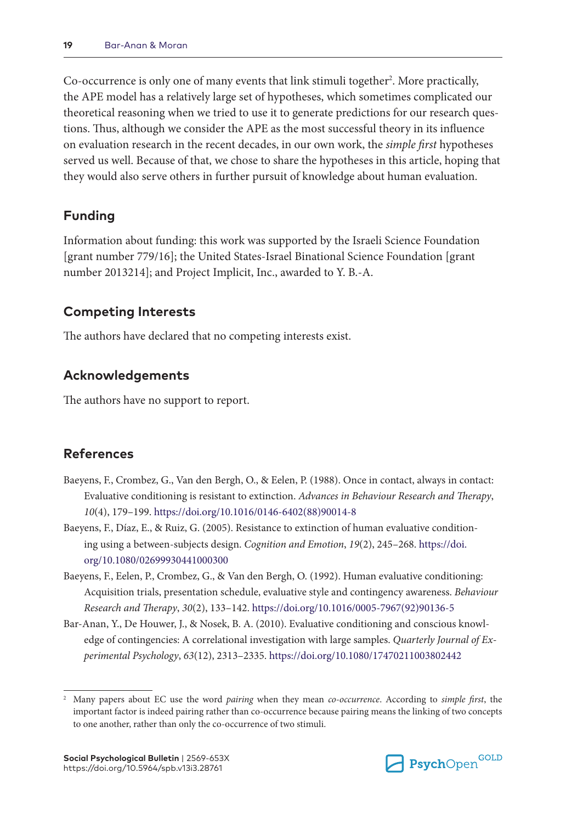Co-occurrence is only one of many events that link stimuli together<sup>2</sup>. More practically, the APE model has a relatively large set of hypotheses, which sometimes complicated our theoretical reasoning when we tried to use it to generate predictions for our research questions. Thus, although we consider the APE as the most successful theory in its influence on evaluation research in the recent decades, in our own work, the *simple first* hypotheses served us well. Because of that, we chose to share the hypotheses in this article, hoping that they would also serve others in further pursuit of knowledge about human evaluation.

## **Funding**

Information about funding: this work was supported by the Israeli Science Foundation [grant number 779/16]; the United States-Israel Binational Science Foundation [grant number 2013214]; and Project Implicit, Inc., awarded to Y. B.-A.

## **Competing Interests**

The authors have declared that no competing interests exist.

## **Acknowledgements**

The authors have no support to report.

### **References**

- Baeyens, F., Crombez, G., Van den Bergh, O., & Eelen, P. (1988). Once in contact, always in contact: Evaluative conditioning is resistant to extinction. *Advances in Behaviour Research and Therapy*, *10*(4), 179–199. [https://doi.org/10.1016/0146-6402\(88\)90014-8](https://doi.org/10.1016/0146-6402(88)90014-8)
- Baeyens, F., Díaz, E., & Ruiz, G. (2005). Resistance to extinction of human evaluative conditioning using a between-subjects design. *Cognition and Emotion*, *19*(2), 245–268. [https://doi.](https://doi.org/10.1080/02699930441000300) [org/10.1080/02699930441000300](https://doi.org/10.1080/02699930441000300)
- Baeyens, F., Eelen, P., Crombez, G., & Van den Bergh, O. (1992). Human evaluative conditioning: Acquisition trials, presentation schedule, evaluative style and contingency awareness. *Behaviour Research and Therapy*, *30*(2), 133–142. [https://doi.org/10.1016/0005-7967\(92\)90136-5](https://doi.org/10.1016/0005-7967(92)90136-5)
- Bar-Anan, Y., De Houwer, J., & Nosek, B. A. (2010). Evaluative conditioning and conscious knowledge of contingencies: A correlational investigation with large samples. *Quarterly Journal of Experimental Psychology*, *63*(12), 2313–2335. <https://doi.org/10.1080/17470211003802442>



<sup>2</sup> Many papers about EC use the word *pairing* when they mean *co-occurrence*. According to *simple first*, the important factor is indeed pairing rather than co-occurrence because pairing means the linking of two concepts to one another, rather than only the co-occurrence of two stimuli.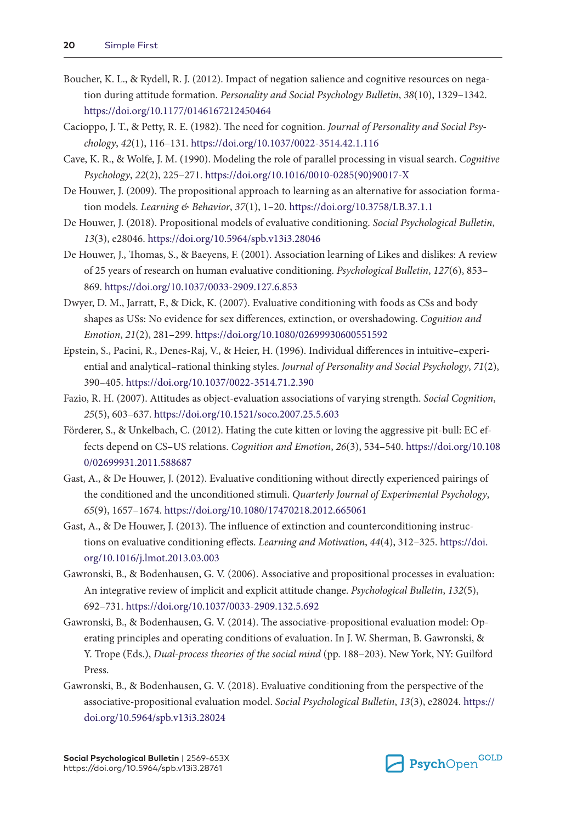- Boucher, K. L., & Rydell, R. J. (2012). Impact of negation salience and cognitive resources on negation during attitude formation. *Personality and Social Psychology Bulletin*, *38*(10), 1329–1342. <https://doi.org/10.1177/0146167212450464>
- Cacioppo, J. T., & Petty, R. E. (1982). The need for cognition. *Journal of Personality and Social Psychology*, *42*(1), 116–131. <https://doi.org/10.1037/0022-3514.42.1.116>
- Cave, K. R., & Wolfe, J. M. (1990). Modeling the role of parallel processing in visual search. *Cognitive Psychology*, *22*(2), 225–271. [https://doi.org/10.1016/0010-0285\(90\)90017-X](https://doi.org/10.1016/0010-0285(90)90017-X)
- De Houwer, J. (2009). The propositional approach to learning as an alternative for association formation models. *Learning & Behavior*, *37*(1), 1–20.<https://doi.org/10.3758/LB.37.1.1>
- De Houwer, J. (2018). Propositional models of evaluative conditioning. *Social Psychological Bulletin*, *13*(3), e28046.<https://doi.org/10.5964/spb.v13i3.28046>
- De Houwer, J., Thomas, S., & Baeyens, F. (2001). Association learning of Likes and dislikes: A review of 25 years of research on human evaluative conditioning. *Psychological Bulletin*, *127*(6), 853– 869. <https://doi.org/10.1037/0033-2909.127.6.853>
- Dwyer, D. M., Jarratt, F., & Dick, K. (2007). Evaluative conditioning with foods as CSs and body shapes as USs: No evidence for sex differences, extinction, or overshadowing. *Cognition and Emotion*, *21*(2), 281–299. <https://doi.org/10.1080/02699930600551592>
- Epstein, S., Pacini, R., Denes-Raj, V., & Heier, H. (1996). Individual differences in intuitive–experiential and analytical–rational thinking styles. *Journal of Personality and Social Psychology*, *71*(2), 390–405.<https://doi.org/10.1037/0022-3514.71.2.390>
- Fazio, R. H. (2007). Attitudes as object-evaluation associations of varying strength. *Social Cognition*, *25*(5), 603–637.<https://doi.org/10.1521/soco.2007.25.5.603>
- Förderer, S., & Unkelbach, C. (2012). Hating the cute kitten or loving the aggressive pit-bull: EC effects depend on CS–US relations. *Cognition and Emotion*, *26*(3), 534–540. [https://doi.org/10.108](https://doi.org/10.1080/02699931.2011.588687) [0/02699931.2011.588687](https://doi.org/10.1080/02699931.2011.588687)
- Gast, A., & De Houwer, J. (2012). Evaluative conditioning without directly experienced pairings of the conditioned and the unconditioned stimuli. *Quarterly Journal of Experimental Psychology*, *65*(9), 1657–1674.<https://doi.org/10.1080/17470218.2012.665061>
- Gast, A., & De Houwer, J. (2013). The influence of extinction and counterconditioning instructions on evaluative conditioning effects. *Learning and Motivation*, *44*(4), 312–325. [https://doi.](https://doi.org/10.1016/j.lmot.2013.03.003) [org/10.1016/j.lmot.2013.03.003](https://doi.org/10.1016/j.lmot.2013.03.003)
- Gawronski, B., & Bodenhausen, G. V. (2006). Associative and propositional processes in evaluation: An integrative review of implicit and explicit attitude change. *Psychological Bulletin*, *132*(5), 692–731.<https://doi.org/10.1037/0033-2909.132.5.692>
- Gawronski, B., & Bodenhausen, G. V. (2014). The associative-propositional evaluation model: Operating principles and operating conditions of evaluation. In J. W. Sherman, B. Gawronski, & Y. Trope (Eds.), *Dual-process theories of the social mind* (pp. 188–203). New York, NY: Guilford Press.
- Gawronski, B., & Bodenhausen, G. V. (2018). Evaluative conditioning from the perspective of the associative-propositional evaluation model. *Social Psychological Bulletin*, *13*(3), e28024. [https://](https://doi.org/10.5964/spb.v13i3.28024) [doi.org/10.5964/spb.v13i3.28024](https://doi.org/10.5964/spb.v13i3.28024)

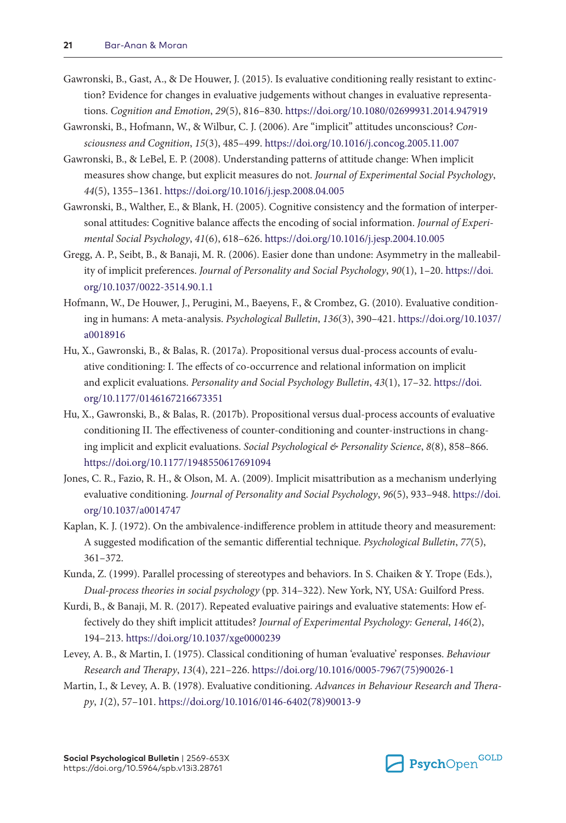- Gawronski, B., Gast, A., & De Houwer, J. (2015). Is evaluative conditioning really resistant to extinction? Evidence for changes in evaluative judgements without changes in evaluative representations. *Cognition and Emotion*, *29*(5), 816–830. <https://doi.org/10.1080/02699931.2014.947919>
- Gawronski, B., Hofmann, W., & Wilbur, C. J. (2006). Are "implicit" attitudes unconscious? *Consciousness and Cognition*, *15*(3), 485–499.<https://doi.org/10.1016/j.concog.2005.11.007>
- Gawronski, B., & LeBel, E. P. (2008). Understanding patterns of attitude change: When implicit measures show change, but explicit measures do not. *Journal of Experimental Social Psychology*, *44*(5), 1355–1361.<https://doi.org/10.1016/j.jesp.2008.04.005>
- Gawronski, B., Walther, E., & Blank, H. (2005). Cognitive consistency and the formation of interpersonal attitudes: Cognitive balance affects the encoding of social information. *Journal of Experimental Social Psychology*, *41*(6), 618–626.<https://doi.org/10.1016/j.jesp.2004.10.005>
- Gregg, A. P., Seibt, B., & Banaji, M. R. (2006). Easier done than undone: Asymmetry in the malleability of implicit preferences. *Journal of Personality and Social Psychology*, *90*(1), 1–20. [https://doi.](https://doi.org/10.1037/0022-3514.90.1.1) [org/10.1037/0022-3514.90.1.1](https://doi.org/10.1037/0022-3514.90.1.1)
- Hofmann, W., De Houwer, J., Perugini, M., Baeyens, F., & Crombez, G. (2010). Evaluative conditioning in humans: A meta-analysis. *Psychological Bulletin*, *136*(3), 390–421. [https://doi.org/10.1037/](https://doi.org/10.1037/a0018916) [a0018916](https://doi.org/10.1037/a0018916)
- Hu, X., Gawronski, B., & Balas, R. (2017a). Propositional versus dual-process accounts of evaluative conditioning: I. The effects of co-occurrence and relational information on implicit and explicit evaluations. *Personality and Social Psychology Bulletin*, *43*(1), 17–32. [https://doi.](https://doi.org/10.1177/0146167216673351) [org/10.1177/0146167216673351](https://doi.org/10.1177/0146167216673351)
- Hu, X., Gawronski, B., & Balas, R. (2017b). Propositional versus dual-process accounts of evaluative conditioning II. The effectiveness of counter-conditioning and counter-instructions in changing implicit and explicit evaluations. *Social Psychological & Personality Science*, *8*(8), 858–866. <https://doi.org/10.1177/1948550617691094>
- Jones, C. R., Fazio, R. H., & Olson, M. A. (2009). Implicit misattribution as a mechanism underlying evaluative conditioning. *Journal of Personality and Social Psychology*, *96*(5), 933–948. [https://doi.](https://doi.org/10.1037/a0014747) [org/10.1037/a0014747](https://doi.org/10.1037/a0014747)
- Kaplan, K. J. (1972). On the ambivalence-indifference problem in attitude theory and measurement: A suggested modification of the semantic differential technique. *Psychological Bulletin*, *77*(5), 361–372.
- Kunda, Z. (1999). Parallel processing of stereotypes and behaviors. In S. Chaiken & Y. Trope (Eds.), *Dual-process theories in social psychology* (pp. 314–322). New York, NY, USA: Guilford Press.
- Kurdi, B., & Banaji, M. R. (2017). Repeated evaluative pairings and evaluative statements: How effectively do they shift implicit attitudes? *Journal of Experimental Psychology: General*, *146*(2), 194–213.<https://doi.org/10.1037/xge0000239>
- Levey, A. B., & Martin, I. (1975). Classical conditioning of human 'evaluative' responses. *Behaviour Research and Therapy*, *13*(4), 221–226. [https://doi.org/10.1016/0005-7967\(75\)90026-1](https://doi.org/10.1016/0005-7967(75)90026-1)
- Martin, I., & Levey, A. B. (1978). Evaluative conditioning. *Advances in Behaviour Research and Therapy*, *1*(2), 57–101. [https://doi.org/10.1016/0146-6402\(78\)90013-9](https://doi.org/10.1016/0146-6402(78)90013-9)

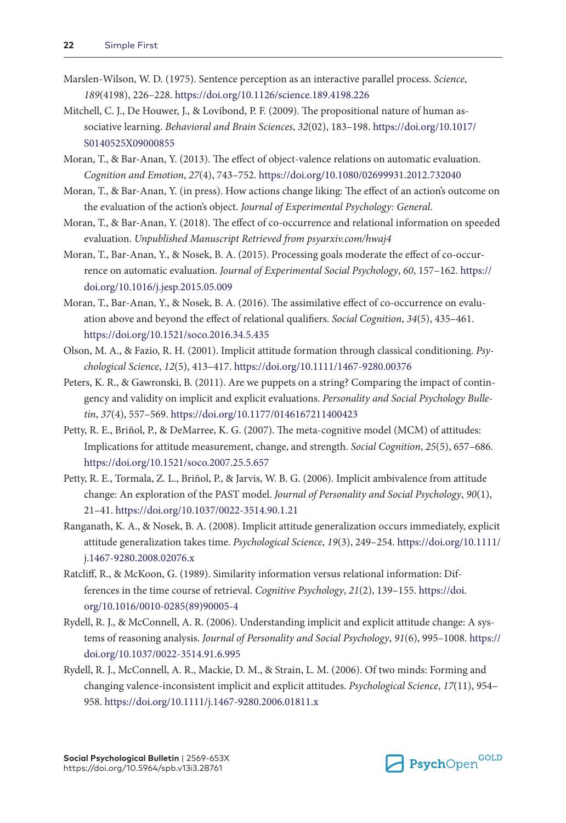- Marslen-Wilson, W. D. (1975). Sentence perception as an interactive parallel process. *Science*, *189*(4198), 226–228. <https://doi.org/10.1126/science.189.4198.226>
- Mitchell, C. J., De Houwer, J., & Lovibond, P. F. (2009). The propositional nature of human associative learning. *Behavioral and Brain Sciences*, *32*(02), 183–198. [https://doi.org/10.1017/](https://doi.org/10.1017/S0140525X09000855) [S0140525X09000855](https://doi.org/10.1017/S0140525X09000855)
- Moran, T., & Bar-Anan, Y. (2013). The effect of object-valence relations on automatic evaluation. *Cognition and Emotion*, *27*(4), 743–752.<https://doi.org/10.1080/02699931.2012.732040>
- Moran, T., & Bar-Anan, Y. (in press). How actions change liking: The effect of an action's outcome on the evaluation of the action's object. *Journal of Experimental Psychology: General*.
- Moran, T., & Bar-Anan, Y. (2018). The effect of co-occurrence and relational information on speeded evaluation. *Unpublished Manuscript Retrieved from psyarxiv.com/hwaj4*
- Moran, T., Bar-Anan, Y., & Nosek, B. A. (2015). Processing goals moderate the effect of co-occurrence on automatic evaluation. *Journal of Experimental Social Psychology*, *60*, 157–162. [https://](https://doi.org/10.1016/j.jesp.2015.05.009) [doi.org/10.1016/j.jesp.2015.05.009](https://doi.org/10.1016/j.jesp.2015.05.009)
- Moran, T., Bar-Anan, Y., & Nosek, B. A. (2016). The assimilative effect of co-occurrence on evaluation above and beyond the effect of relational qualifiers. *Social Cognition*, *34*(5), 435–461. <https://doi.org/10.1521/soco.2016.34.5.435>
- Olson, M. A., & Fazio, R. H. (2001). Implicit attitude formation through classical conditioning. *Psychological Science*, *12*(5), 413–417. <https://doi.org/10.1111/1467-9280.00376>
- Peters, K. R., & Gawronski, B. (2011). Are we puppets on a string? Comparing the impact of contingency and validity on implicit and explicit evaluations. *Personality and Social Psychology Bulletin*, *37*(4), 557–569.<https://doi.org/10.1177/0146167211400423>
- Petty, R. E., Briñol, P., & DeMarree, K. G. (2007). The meta-cognitive model (MCM) of attitudes: Implications for attitude measurement, change, and strength. *Social Cognition*, *25*(5), 657–686. <https://doi.org/10.1521/soco.2007.25.5.657>
- Petty, R. E., Tormala, Z. L., Briñol, P., & Jarvis, W. B. G. (2006). Implicit ambivalence from attitude change: An exploration of the PAST model. *Journal of Personality and Social Psychology*, *90*(1), 21–41. <https://doi.org/10.1037/0022-3514.90.1.21>
- Ranganath, K. A., & Nosek, B. A. (2008). Implicit attitude generalization occurs immediately, explicit attitude generalization takes time. *Psychological Science*, *19*(3), 249–254. [https://doi.org/10.1111/](https://doi.org/10.1111/j.1467-9280.2008.02076.x) [j.1467-9280.2008.02076.x](https://doi.org/10.1111/j.1467-9280.2008.02076.x)
- Ratcliff, R., & McKoon, G. (1989). Similarity information versus relational information: Differences in the time course of retrieval. *Cognitive Psychology*, *21*(2), 139–155. [https://doi.](https://doi.org/10.1016/0010-0285(89)90005-4) [org/10.1016/0010-0285\(89\)90005-4](https://doi.org/10.1016/0010-0285(89)90005-4)
- Rydell, R. J., & McConnell, A. R. (2006). Understanding implicit and explicit attitude change: A systems of reasoning analysis. *Journal of Personality and Social Psychology*, *91*(6), 995–1008. [https://](https://doi.org/10.1037/0022-3514.91.6.995) [doi.org/10.1037/0022-3514.91.6.995](https://doi.org/10.1037/0022-3514.91.6.995)
- Rydell, R. J., McConnell, A. R., Mackie, D. M., & Strain, L. M. (2006). Of two minds: Forming and changing valence-inconsistent implicit and explicit attitudes. *Psychological Science*, *17*(11), 954– 958. <https://doi.org/10.1111/j.1467-9280.2006.01811.x>